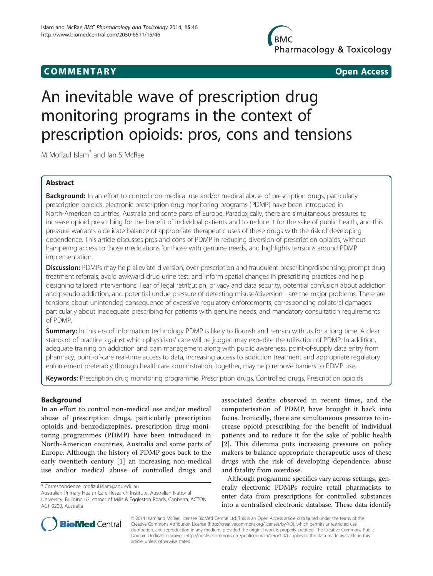## **COMMENTARY COMMENTARY Open Access**

**RMC** Pharmacology & Toxicology

# An inevitable wave of prescription drug monitoring programs in the context of prescription opioids: pros, cons and tensions

M Mofizul Islam\* and Ian S McRae

### Abstract

Background: In an effort to control non-medical use and/or medical abuse of prescription drugs, particularly prescription opioids, electronic prescription drug monitoring programs (PDMP) have been introduced in North-American countries, Australia and some parts of Europe. Paradoxically, there are simultaneous pressures to increase opioid prescribing for the benefit of individual patients and to reduce it for the sake of public health, and this pressure warrants a delicate balance of appropriate therapeutic uses of these drugs with the risk of developing dependence. This article discusses pros and cons of PDMP in reducing diversion of prescription opioids, without hampering access to those medications for those with genuine needs, and highlights tensions around PDMP implementation.

Discussion: PDMPs may help alleviate diversion, over-prescription and fraudulent prescribing/dispensing; prompt drug treatment referrals; avoid awkward drug urine test; and inform spatial changes in prescribing practices and help designing tailored interventions. Fear of legal retribution, privacy and data security, potential confusion about addiction and pseudo-addiction, and potential undue pressure of detecting misuse/diversion - are the major problems. There are tensions about unintended consequence of excessive regulatory enforcements, corresponding collateral damages particularly about inadequate prescribing for patients with genuine needs, and mandatory consultation requirements of PDMP.

Summary: In this era of information technology PDMP is likely to flourish and remain with us for a long time. A clear standard of practice against which physicians' care will be judged may expedite the utilisation of PDMP. In addition, adequate training on addiction and pain management along with public awareness, point-of-supply data entry from pharmacy, point-of-care real-time access to data, increasing access to addiction treatment and appropriate regulatory enforcement preferably through healthcare administration, together, may help remove barriers to PDMP use.

Keywords: Prescription drug monitoring programme, Prescription drugs, Controlled drugs, Prescription opioids

#### Background

In an effort to control non-medical use and/or medical abuse of prescription drugs, particularly prescription opioids and benzodiazepines, prescription drug monitoring programmes (PDMP) have been introduced in North-American countries, Australia and some parts of Europe. Although the history of PDMP goes back to the early twentieth century [\[1](#page-5-0)] an increasing non-medical use and/or medical abuse of controlled drugs and

Australian Primary Health Care Research Institute, Australian National University, Building 63, corner of Mills & Eggleston Roads, Canberra, ACTON ACT 0200, Australia

associated deaths observed in recent times, and the computerisation of PDMP, have brought it back into focus. Ironically, there are simultaneous pressures to increase opioid prescribing for the benefit of individual patients and to reduce it for the sake of public health [[2\]](#page-5-0). This dilemma puts increasing pressure on policy makers to balance appropriate therapeutic uses of these drugs with the risk of developing dependence, abuse and fatality from overdose.

Although programme specifics vary across settings, generally electronic PDMPs require retail pharmacists to enter data from prescriptions for controlled substances into a centralised electronic database. These data identify



© 2014 Islam and McRae; licensee BioMed Central Ltd. This is an Open Access article distributed under the terms of the Creative Commons Attribution License (<http://creativecommons.org/licenses/by/4.0>), which permits unrestricted use, distribution, and reproduction in any medium, provided the original work is properly credited. The Creative Commons Public Domain Dedication waiver [\(http://creativecommons.org/publicdomain/zero/1.0/\)](http://creativecommons.org/publicdomain/zero/1.0/) applies to the data made available in this article, unless otherwise stated.

<sup>\*</sup> Correspondence: [mofizul.islam@anu.edu.au](mailto:mofizul.islam@anu.edu.au)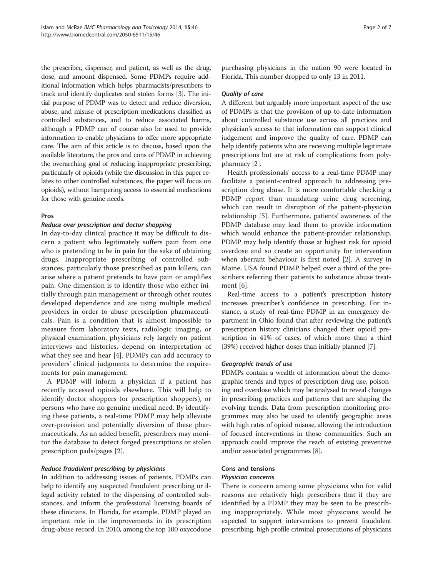the prescriber, dispenser, and patient, as well as the drug, dose, and amount dispensed. Some PDMPs require additional information which helps pharmacists/prescribers to track and identify duplicates and stolen forms [\[3\]](#page-5-0). The initial purpose of PDMP was to detect and reduce diversion, abuse, and misuse of prescription medications classified as controlled substances, and to reduce associated harms, although a PDMP can of course also be used to provide information to enable physicians to offer more appropriate care. The aim of this article is to discuss, based upon the available literature, the pros and cons of PDMP in achieving the overarching goal of reducing inappropriate prescribing, particularly of opioids (while the discussion in this paper relates to other controlled substances, the paper will focus on opioids), without hampering access to essential medications for those with genuine needs.

#### Pros

#### Reduce over prescription and doctor shopping

In day-to-day clinical practice it may be difficult to discern a patient who legitimately suffers pain from one who is pretending to be in pain for the sake of obtaining drugs. Inappropriate prescribing of controlled substances, particularly those prescribed as pain killers, can arise where a patient pretends to have pain or amplifies pain. One dimension is to identify those who either initially through pain management or through other routes developed dependence and are using multiple medical providers in order to abuse prescription pharmaceuticals. Pain is a condition that is almost impossible to measure from laboratory tests, radiologic imaging, or physical examination, physicians rely largely on patient interviews and histories, depend on interpretation of what they see and hear [\[4](#page-5-0)]. PDMPs can add accuracy to providers' clinical judgments to determine the requirements for pain management.

A PDMP will inform a physician if a patient has recently accessed opioids elsewhere. This will help to identify doctor shoppers (or prescription shoppers), or persons who have no genuine medical need. By identifying these patients, a real-time PDMP may help alleviate over-provision and potentially diversion of these pharmaceuticals. As an added benefit, prescribers may monitor the database to detect forged prescriptions or stolen prescription pads/pages [[2](#page-5-0)].

#### Reduce fraudulent prescribing by physicians

In addition to addressing issues of patients, PDMPs can help to identify any suspected fraudulent prescribing or illegal activity related to the dispensing of controlled substances, and inform the professional licensing boards of these clinicians. In Florida, for example, PDMP played an important role in the improvements in its prescription drug-abuse record. In 2010, among the top 100 oxycodone

purchasing physicians in the nation 90 were located in Florida. This number dropped to only 13 in 2011.

#### Quality of care

A different but arguably more important aspect of the use of PDMPs is that the provision of up-to-date information about controlled substance use across all practices and physician's access to that information can support clinical judgement and improve the quality of care. PDMP can help identify patients who are receiving multiple legitimate prescriptions but are at risk of complications from polypharmacy [[2\]](#page-5-0).

Health professionals' access to a real-time PDMP may facilitate a patient-centred approach to addressing prescription drug abuse. It is more comfortable checking a PDMP report than mandating urine drug screening, which can result in disruption of the patient-physician relationship [[5\]](#page-5-0). Furthermore, patients' awareness of the PDMP database may lead them to provide information which would enhance the patient-provider relationship. PDMP may help identify those at highest risk for opioid overdose and so create an opportunity for intervention when aberrant behaviour is first noted [[2\]](#page-5-0). A survey in Maine, USA found PDMP helped over a third of the prescribers referring their patients to substance abuse treatment [[6\]](#page-5-0).

Real-time access to a patient's prescription history increases prescriber's confidence in prescribing. For instance, a study of real-time PDMP in an emergency department in Ohio found that after reviewing the patient's prescription history clinicians changed their opioid prescription in 41% of cases, of which more than a third (39%) received higher doses than initially planned [\[7](#page-5-0)].

#### Geographic trends of use

PDMPs contain a wealth of information about the demographic trends and types of prescription drug use, poisoning and overdose which may be analysed to reveal changes in prescribing practices and patterns that are shaping the evolving trends. Data from prescription monitoring programmes may also be used to identify geographic areas with high rates of opioid misuse, allowing the introduction of focused interventions in those communities. Such an approach could improve the reach of existing preventive and/or associated programmes [\[8](#page-5-0)].

#### Cons and tensions

#### Physician concerns

There is concern among some physicians who for valid reasons are relatively high prescribers that if they are identified by a PDMP they may be seen to be prescribing inappropriately. While most physicians would be expected to support interventions to prevent fraudulent prescribing, high profile criminal prosecutions of physicians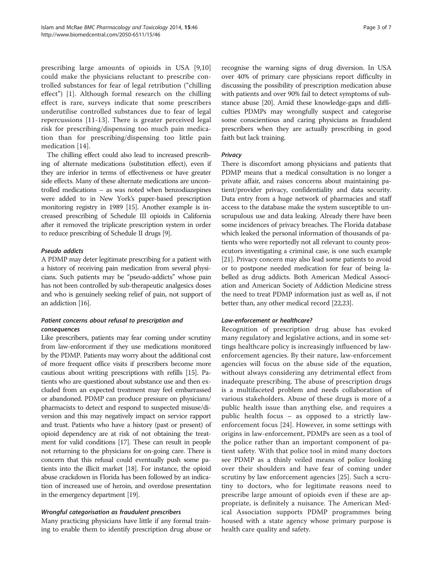prescribing large amounts of opioids in USA [\[9,10](#page-5-0)] could make the physicians reluctant to prescribe controlled substances for fear of legal retribution ("chilling effect") [[1\]](#page-5-0). Although formal research on the chilling effect is rare, surveys indicate that some prescribers underutilise controlled substances due to fear of legal repercussions [[11](#page-5-0)-[13\]](#page-5-0). There is greater perceived legal risk for prescribing/dispensing too much pain medication than for prescribing/dispensing too little pain medication [[14\]](#page-5-0).

The chilling effect could also lead to increased prescribing of alternate medications (substitution effect), even if they are inferior in terms of effectiveness or have greater side effects. Many of these alternate medications are uncontrolled medications – as was noted when benzodiazepines were added to in New York's paper-based prescription monitoring registry in 1989 [\[15\]](#page-5-0). Another example is increased prescribing of Schedule III opioids in California after it removed the triplicate prescription system in order to reduce prescribing of Schedule II drugs [\[9](#page-5-0)].

#### Pseudo addicts

A PDMP may deter legitimate prescribing for a patient with a history of receiving pain medication from several physicians. Such patients may be "pseudo-addicts" whose pain has not been controlled by sub-therapeutic analgesics doses and who is genuinely seeking relief of pain, not support of an addiction [[16](#page-5-0)].

#### Patient concerns about refusal to prescription and consequences

Like prescribers, patients may fear coming under scrutiny from law-enforcement if they use medications monitored by the PDMP. Patients may worry about the additional cost of more frequent office visits if prescribers become more cautious about writing prescriptions with refills [\[15\]](#page-5-0). Patients who are questioned about substance use and then excluded from an expected treatment may feel embarrassed or abandoned. PDMP can produce pressure on physicians/ pharmacists to detect and respond to suspected misuse/diversion and this may negatively impact on service rapport and trust. Patients who have a history (past or present) of opioid dependency are at risk of not obtaining the treatment for valid conditions [\[17\]](#page-5-0). These can result in people not returning to the physicians for on-going care. There is concern that this refusal could eventually push some patients into the illicit market [[18](#page-5-0)]. For instance, the opioid abuse crackdown in Florida has been followed by an indication of increased use of heroin, and overdose presentation in the emergency department [[19](#page-5-0)].

#### Wrongful categorisation as fraudulent prescribers

Many practicing physicians have little if any formal training to enable them to identify prescription drug abuse or recognise the warning signs of drug diversion. In USA over 40% of primary care physicians report difficulty in discussing the possibility of prescription medication abuse with patients and over 90% fail to detect symptoms of substance abuse [\[20\]](#page-5-0). Amid these knowledge-gaps and difficulties PDMPs may wrongfully suspect and categorise some conscientious and caring physicians as fraudulent prescribers when they are actually prescribing in good faith but lack training.

#### Privacy

There is discomfort among physicians and patients that PDMP means that a medical consultation is no longer a private affair, and raises concerns about maintaining patient/provider privacy, confidentiality and data security. Data entry from a huge network of pharmacies and staff access to the database make the system susceptible to unscrupulous use and data leaking. Already there have been some incidences of privacy breaches. The Florida database which leaked the personal information of thousands of patients who were reportedly not all relevant to county prosecutors investigating a criminal case, is one such example [[21](#page-5-0)]. Privacy concern may also lead some patients to avoid or to postpone needed medication for fear of being labelled as drug addicts. Both American Medical Association and American Society of Addiction Medicine stress the need to treat PDMP information just as well as, if not better than, any other medical record [\[22,23\]](#page-5-0).

#### Law-enforcement or healthcare?

Recognition of prescription drug abuse has evoked many regulatory and legislative actions, and in some settings healthcare policy is increasingly influenced by lawenforcement agencies. By their nature, law-enforcement agencies will focus on the abuse side of the equation, without always considering any detrimental effect from inadequate prescribing. The abuse of prescription drugs is a multifaceted problem and needs collaboration of various stakeholders. Abuse of these drugs is more of a public health issue than anything else, and requires a public health focus – as opposed to a strictly lawenforcement focus [[24\]](#page-5-0). However, in some settings with origins in law-enforcement, PDMPs are seen as a tool of the police rather than an important component of patient safety. With that police tool in mind many doctors see PDMP as a thinly veiled means of police looking over their shoulders and have fear of coming under scrutiny by law enforcement agencies [[25\]](#page-5-0). Such a scrutiny to doctors, who for legitimate reasons need to prescribe large amount of opioids even if these are appropriate, is definitely a nuisance. The American Medical Association supports PDMP programmes being housed with a state agency whose primary purpose is health care quality and safety.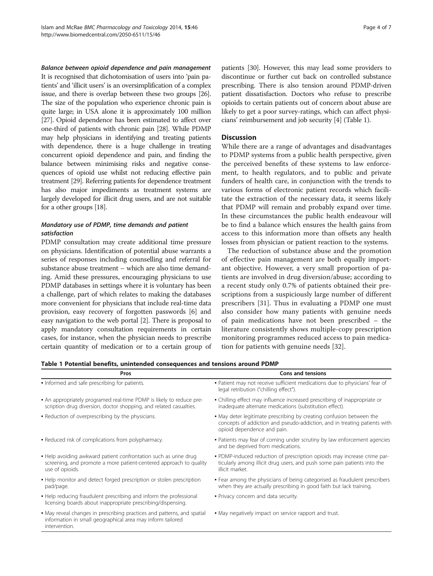Balance between opioid dependence and pain management It is recognised that dichotomisation of users into 'pain patients' and 'illicit users' is an oversimplification of a complex issue, and there is overlap between these two groups [\[26](#page-5-0)]. The size of the population who experience chronic pain is quite large; in USA alone it is approximately 100 million [[27](#page-5-0)]. Opioid dependence has been estimated to affect over one-third of patients with chronic pain [[28](#page-5-0)]. While PDMP may help physicians in identifying and treating patients with dependence, there is a huge challenge in treating concurrent opioid dependence and pain, and finding the balance between minimising risks and negative consequences of opioid use whilst not reducing effective pain treatment [[29\]](#page-5-0). Referring patients for dependence treatment has also major impediments as treatment systems are largely developed for illicit drug users, and are not suitable for a other groups [\[18](#page-5-0)].

#### Mandatory use of PDMP, time demands and patient satisfaction

PDMP consultation may create additional time pressure on physicians. Identification of potential abuse warrants a series of responses including counselling and referral for substance abuse treatment – which are also time demanding. Amid these pressures, encouraging physicians to use PDMP databases in settings where it is voluntary has been a challenge, part of which relates to making the databases more convenient for physicians that include real-time data provision, easy recovery of forgotten passwords [\[6](#page-5-0)] and easy navigation to the web portal [\[2](#page-5-0)]. There is proposal to apply mandatory consultation requirements in certain cases, for instance, when the physician needs to prescribe certain quantity of medication or to a certain group of

intervention.

patients [\[30](#page-5-0)]. However, this may lead some providers to discontinue or further cut back on controlled substance prescribing. There is also tension around PDMP-driven patient dissatisfaction. Doctors who refuse to prescribe opioids to certain patients out of concern about abuse are likely to get a poor survey-ratings, which can affect physicians' reimbursement and job security [\[4](#page-5-0)] (Table 1).

#### **Discussion**

While there are a range of advantages and disadvantages to PDMP systems from a public health perspective, given the perceived benefits of these systems to law enforcement, to health regulators, and to public and private funders of health care, in conjunction with the trends to various forms of electronic patient records which facilitate the extraction of the necessary data, it seems likely that PDMP will remain and probably expand over time. In these circumstances the public health endeavour will be to find a balance which ensures the health gains from access to this information more than offsets any health losses from physician or patient reaction to the systems.

The reduction of substance abuse and the promotion of effective pain management are both equally important objective. However, a very small proportion of patients are involved in drug diversion/abuse; according to a recent study only 0.7% of patients obtained their prescriptions from a suspiciously large number of different prescribers [\[31](#page-5-0)]. Thus in evaluating a PDMP one must also consider how many patients with genuine needs of pain medications have not been prescribed – the literature consistently shows multiple-copy prescription monitoring programmes reduced access to pain medication for patients with genuine needs [[32](#page-5-0)].

Table 1 Potential benefits, unintended consequences and tensions around PDMP

| Pros                                                                                                                                                      | <b>Cons and tensions</b>                                                                                                                                                         |
|-----------------------------------------------------------------------------------------------------------------------------------------------------------|----------------------------------------------------------------------------------------------------------------------------------------------------------------------------------|
| . Informed and safe prescribing for patients.                                                                                                             | . Patient may not receive sufficient medications due to physicians' fear of<br>legal retribution ("chilling effect").                                                            |
| • An appropriately programed real-time PDMP is likely to reduce pre-<br>scription drug diversion, doctor shopping, and related casualties.                | • Chilling effect may influence increased prescribing of inappropriate or<br>inadequate alternate medications (substitution effect).                                             |
| • Reduction of overprescribing by the physicians.                                                                                                         | • May deter legitimate prescribing by creating confusion between the<br>concepts of addiction and pseudo-addiction, and in treating patients with<br>opioid dependence and pain. |
| • Reduced risk of complications from polypharmacy.                                                                                                        | • Patients may fear of coming under scrutiny by law enforcement agencies<br>and be deprived from medications.                                                                    |
| . Help avoiding awkward patient confrontation such as urine drug<br>screening, and promote a more patient-centered approach to quality<br>use of opioids. | . PDMP-induced reduction of prescription opioids may increase crime par-<br>ticularly among illicit drug users, and push some pain patients into the<br>illicit market.          |
| . Help monitor and detect forged prescription or stolen prescription<br>pad/page.                                                                         | • Fear among the physicians of being categorised as fraudulent prescribers<br>when they are actually prescribing in good faith but lack training.                                |
| • Help reducing fraudulent prescribing and inform the professional<br>licensing boards about inappropriate prescribing/dispensing.                        | . Privacy concern and data security.                                                                                                                                             |
| • May reveal changes in prescribing practices and patterns, and spatial<br>information in small geographical area may inform tailored                     | • May negatively impact on service rapport and trust.                                                                                                                            |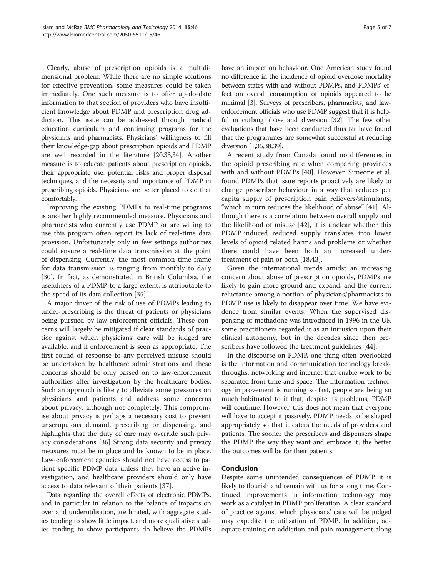Clearly, abuse of prescription opioids is a multidimensional problem. While there are no simple solutions for effective prevention, some measures could be taken immediately. One such measure is to offer up-do-date information to that section of providers who have insufficient knowledge about PDMP and prescription drug addiction. This issue can be addressed through medical education curriculum and continuing programs for the physicians and pharmacists. Physicians' willingness to fill their knowledge-gap about prescription opioids and PDMP are well recorded in the literature [\[20,33,34\]](#page-5-0). Another measure is to educate patients about prescription opioids, their appropriate use, potential risks and proper disposal techniques, and the necessity and importance of PDMP in prescribing opioids. Physicians are better placed to do that comfortably.

Improving the existing PDMPs to real-time programs is another highly recommended measure. Physicians and pharmacists who currently use PDMP or are willing to use this program often report its lack of real-time data provision. Unfortunately only in few settings authorities could ensure a real-time data transmission at the point of dispensing. Currently, the most common time frame for data transmission is ranging from monthly to daily [[30\]](#page-5-0). In fact, as demonstrated in British Columbia, the usefulness of a PDMP, to a large extent, is attributable to the speed of its data collection [[35\]](#page-5-0).

A major driver of the risk of use of PDMPs leading to under-prescribing is the threat of patients or physicians being pursued by law-enforcement officials. These concerns will largely be mitigated if clear standards of practice against which physicians' care will be judged are available, and if enforcement is seen as appropriate. The first round of response to any perceived misuse should be undertaken by healthcare administrations and these concerns should be only passed on to law-enforcement authorities after investigation by the healthcare bodies. Such an approach is likely to alleviate some pressures on physicians and patients and address some concerns about privacy, although not completely. This compromise about privacy is perhaps a necessary cost to prevent unscrupulous demand, prescribing or dispensing, and highlights that the duty of care may override such privacy considerations [\[36](#page-6-0)] Strong data security and privacy measures must be in place and be known to be in place. Law-enforcement agencies should not have access to patient specific PDMP data unless they have an active investigation, and healthcare providers should only have access to data relevant of their patients [[37\]](#page-6-0).

Data regarding the overall effects of electronic PDMPs, and in particular in relation to the balance of impacts on over and underutilisation, are limited, with aggregate studies tending to show little impact, and more qualitative studies tending to show participants do believe the PDMPs have an impact on behaviour. One American study found no difference in the incidence of opioid overdose mortality between states with and without PDMPs, and PDMPs' effect on overall consumption of opioids appeared to be minimal [\[3\]](#page-5-0). Surveys of prescribers, pharmacists, and lawenforcement officials who use PDMP suggest that it is helpful in curbing abuse and diversion [[32\]](#page-5-0). The few other evaluations that have been conducted thus far have found that the programmes are somewhat successful at reducing diversion [[1,35](#page-5-0)[,38,39\]](#page-6-0).

A recent study from Canada found no differences in the opioid prescribing rate when comparing provinces with and without PDMPs [\[40](#page-6-0)]. However, Simeone et al. found PDMPs that issue reports proactively are likely to change prescriber behaviour in a way that reduces per capita supply of prescription pain relievers/stimulants, "which in turn reduces the likelihood of abuse" [[41\]](#page-6-0). Although there is a correlation between overall supply and the likelihood of misuse [\[42](#page-6-0)], it is unclear whether this PDMP‐induced reduced supply translates into lower levels of opioid related harms and problems or whether there could have been both an increased undertreatment of pain or both [[18](#page-5-0)[,43](#page-6-0)].

Given the international trends amidst an increasing concern about abuse of prescription opioids, PDMPs are likely to gain more ground and expand, and the current reluctance among a portion of physicians/pharmacists to PDMP use is likely to disappear over time. We have evidence from similar events. When the supervised dispensing of methadone was introduced in 1996 in the UK some practitioners regarded it as an intrusion upon their clinical autonomy, but in the decades since then prescribers have followed the treatment guidelines [[44\]](#page-6-0).

In the discourse on PDMP, one thing often overlooked is the information and communication technology breakthroughs, networking and internet that enable work to be separated from time and space. The information technology improvement is running so fast, people are being so much habituated to it that, despite its problems, PDMP will continue. However, this does not mean that everyone will have to accept it passively. PDMP needs to be shaped appropriately so that it caters the needs of providers and patients. The sooner the prescribers and dispensers shape the PDMP the way they want and embrace it, the better the outcomes will be for their patients.

#### Conclusion

Despite some unintended consequences of PDMP, it is likely to flourish and remain with us for a long time. Continued improvements in information technology may work as a catalyst in PDMP proliferation. A clear standard of practice against which physicians' care will be judged may expedite the utilisation of PDMP. In addition, adequate training on addiction and pain management along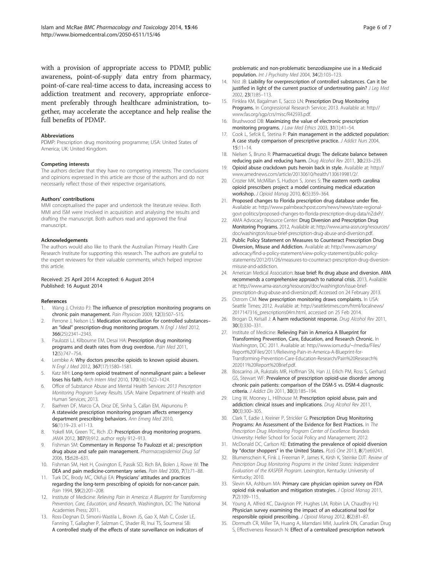<span id="page-5-0"></span>with a provision of appropriate access to PDMP, public awareness, point-of-supply data entry from pharmacy, point-of-care real-time access to data, increasing access to addiction treatment and recovery, appropriate enforcement preferably through healthcare administration, together, may accelerate the acceptance and help realise the full benefits of PDMP.

#### Abbreviations

PDMP: Prescription drug monitoring programme; USA: United States of America; UK: United Kingdom.

#### Competing interests

The authors declare that they have no competing interests. The conclusions and opinions expressed in this article are those of the authors and do not necessarily reflect those of their respective organisations.

#### Authors' contributions

MMI conceptualised the paper and undertook the literature review. Both MMI and ISM were involved in acquisition and analysing the results and drafting the manuscript. Both authors read and approved the final manuscript.

#### Acknowledgements

The authors would also like to thank the Australian Primary Health Care Research Institute for supporting this research. The authors are grateful to the expert reviewers for their valuable comments, which helped improve this article.

#### Received: 25 April 2014 Accepted: 6 August 2014 Published: 16 August 2014

#### References

- 1. Wang J, Christo PJ: The influence of prescription monitoring programs on chronic pain management. Pain Physician 2009, 12(3):507–515.
- Perrone J, Nelson LS: Medication reconciliation for controlled substancesan "ideal" prescription-drug monitoring program. N Engl J Med 2012, 366(25):2341–2343.
- 3. Paulozzi LJ, Kilbourne EM, Desai HA: Prescription drug monitoring programs and death rates from drug overdose. Pain Med 2011, 12(5):747–754.
- 4. Lembke A: Why doctors prescribe opioids to known opioid abusers. N Engl J Med 2012, 367(17):1580–1581.
- Katz MH: Long-term opioid treatment of nonmalignant pain: a believer loses his faith. Arch Intern Med 2010, 170(16):1422–1424.
- 6. Office of Substance Abuse and Mental Health Services: 2013 Prescription Monitoring Program Survey Results. USA: Maine Department of Health and Human Services; 2013.
- 7. Baehren DF, Marco CA, Droz DE, Sinha S, Callan EM, Akpunonu P: A statewide prescription monitoring program affects emergency department prescribing behaviors. Ann Emerg Med 2010, 56(1):19–23. e11-13.
- 8. Yokell MA, Green TC, Rich JD: Prescription drug monitoring programs. JAMA 2012, 307(9):912. author reply 912–913.
- Fishman SM: Commentary in Response To Paulozzi et al.: prescription drug abuse and safe pain management. Pharmacoepidemiol Drug Saf 2006, 15:628–631.
- 10. Fishman SM, Heit H, Covington E, Passik SD, Rich BA, Bolen J, Rowe W: The DEA and pain medicine-commentary series. Pain Med 2006, 7(1):71–88.
- 11. Turk DC, Brody MC, Okifuji EA: Physicians' attitudes and practices regarding the long-term prescribing of opioids for non-cancer pain. Pain 1994, 59(2):201-208.
- 12. Institute of Medicine: Relieving Pain in America: A Blueprint for Transforming Prevention, Care, Education, and Research. Washington, DC: The National Academies Press; 2011.
- 13. Ross-Degnan D, Simoni-Wastila L, Brown JS, Gao X, Mah C, Cosler LE, Fanning T, Gallagher P, Salzman C, Shader RI, Inui TS, Soumerai SB: A controlled study of the effects of state surveillance on indicators of

problematic and non-problematic benzodiazepine use in a Medicaid population. Int J Psychiatry Med 2004, 34(2):103–123.

- 14. Nist JB: Liability for overprescription of controlled substances. Can it be justified in light of the current practice of undertreating pain? J Leg Med 2002, 23(1):85–113.
- 15. Finklea KM, Bagalman E, Sacco LN: Prescription Drug Monitoring Programs. In Congressional Research Service; 2013. Available at: [http://](http://www.fas.org/sgp/crs/misc/R42593.pdf) [www.fas.org/sgp/crs/misc/R42593.pdf](http://www.fas.org/sgp/crs/misc/R42593.pdf).
- 16. Brushwood DB: Maximizing the value of electronic prescription monitoring programs. J Law Med Ethics 2003, 31(1):41-54.
- 17. Cook L, Sefcik E, Stetina P: Pain management in the addicted population: A case study comparison of prescriptive practice. J Addict Nurs 2004, 15:11–14.
- 18. Nielsen S, Bruno R: Pharmacuetical drugs: The delicate balance between reducing pain and reducing harm. Drug Alcohol Rev 2011, 30:233–235.
- 19. Opioid abuse crackdown puts heroin back in style. Available at: [http://](http://www.amednews.com/article/20130610/health/130619981/2/) [www.amednews.com/article/20130610/health/130619981/2/](http://www.amednews.com/article/20130610/health/130619981/2/).
- 20. Crozier MK, McMillan S, Hudson S, Jones S: The eastern north carolina opioid prescribers project: a model continuing medical education workshop. J Opioid Manag 2010, 6(5):359–364.
- 21. Proposed changes to Florida prescription drug database under fire. Available at: [http://www.palmbeachpost.com/news/news/state-regional](http://www.palmbeachpost.com/news/news/state-regional-govt-politics/proposed-changes-to-florida-prescription-drug-data/nZdxP/)[govt-politics/proposed-changes-to-florida-prescription-drug-data/nZdxP/.](http://www.palmbeachpost.com/news/news/state-regional-govt-politics/proposed-changes-to-florida-prescription-drug-data/nZdxP/)
- 22. AMA Advocacy Resource Center: Drug Diversion and Prescription Drug Monitoring Programs. 2012, Available at: [http://www.ama-assn.org/resources/](http://www.ama-assn.org/resources/doc/washington/issue-brief-prescription-drug-abuse-and-diversion.pdf) [doc/washington/issue-brief-prescription-drug-abuse-and-diversion.pdf](http://www.ama-assn.org/resources/doc/washington/issue-brief-prescription-drug-abuse-and-diversion.pdf).
- 23. Public Policy Statement on Measures to Counteract Prescription Drug Diversion, Misuse and Addiction. Available at: [http://www.asam.org/](http://www.asam.org/advocacy/find-a-policy-statement/view-policy-statement/public-policy-statements/2012/01/26/measures-to-counteract-prescription-drug-diversion-misuse-and-addiction) [advocacy/find-a-policy-statement/view-policy-statement/public-policy](http://www.asam.org/advocacy/find-a-policy-statement/view-policy-statement/public-policy-statements/2012/01/26/measures-to-counteract-prescription-drug-diversion-misuse-and-addiction)[statements/2012/01/26/measures-to-counteract-prescription-drug-diversion](http://www.asam.org/advocacy/find-a-policy-statement/view-policy-statement/public-policy-statements/2012/01/26/measures-to-counteract-prescription-drug-diversion-misuse-and-addiction)[misuse-and-addiction.](http://www.asam.org/advocacy/find-a-policy-statement/view-policy-statement/public-policy-statements/2012/01/26/measures-to-counteract-prescription-drug-diversion-misuse-and-addiction)
- 24. American Medical Association: Issue brief: Rx drug abuse and diversion. AMA recommends a comprehensive approach to national crisis. 2013, Available at: [http://www.ama-assn.org/resources/doc/washington/issue-brief](http://www.ama-assn.org/resources/doc/washington/issue-brief-prescription-drug-abuse-and-diversion.pdf)[prescription-drug-abuse-and-diversion.pdf;](http://www.ama-assn.org/resources/doc/washington/issue-brief-prescription-drug-abuse-and-diversion.pdf) Accessed on 24 February 2013.
- 25. Ostrom CM: New prescription monitoring draws complaints. In USA: Seattle Times; 2012. Available at: [http://seattletimes.com/html/localnews/](http://seattletimes.com/html/localnews/2017147316_prescriptions04m.html) [2017147316\\_prescriptions04m.html,](http://seattletimes.com/html/localnews/2017147316_prescriptions04m.html) accessed on 25 Feb 2014.
- 26. Brogan D, Kelsall J: A harm reductionist response. Drug Alcohol Rev 2011, 30(3):330–331.
- 27. Institute of Medicine: Relieving Pain in America A Blueprint for Transforming Prevention, Care, Education, and Research Chronic. In Washington, DC: 2011. Available at: [http://www.iom.edu/~/media/Files/](http://www.iom.edu/~/media/Files/Report%20Files/2011/Relieving-Pain-in-America-A-Blueprint-for-Transforming-Prevention-Care-Education-Research/Pain%20Research%202011%20Report%20Brief.pdf) [Report%20Files/2011/Relieving-Pain-in-America-A-Blueprint-for-](http://www.iom.edu/~/media/Files/Report%20Files/2011/Relieving-Pain-in-America-A-Blueprint-for-Transforming-Prevention-Care-Education-Research/Pain%20Research%202011%20Report%20Brief.pdf)[Transforming-Prevention-Care-Education-Research/Pain%20Research%](http://www.iom.edu/~/media/Files/Report%20Files/2011/Relieving-Pain-in-America-A-Blueprint-for-Transforming-Prevention-Care-Education-Research/Pain%20Research%202011%20Report%20Brief.pdf) [202011%20Report%20Brief.pdf](http://www.iom.edu/~/media/Files/Report%20Files/2011/Relieving-Pain-in-America-A-Blueprint-for-Transforming-Prevention-Care-Education-Research/Pain%20Research%202011%20Report%20Brief.pdf).
- 28. Boscarino JA, Rukstalis MR, Hoffman SN, Han JJ, Erlich PM, Ross S, Gerhard GS, Stewart WF: Prevalence of prescription opioid-use disorder among chronic pain patients: comparison of the DSM-5 vs. DSM-4 diagnostic criteria. J Addict Dis 2011, 30(3):185–194.
- 29. Ling W, Mooney L, Hillhouse M: Prescription opioid abuse, pain and addiction: clinical issues and implications. Drug Alcohol Rev 2011, 30(3):300–305.
- 30. Clark T, Eadie J, Kreiner P, Strickler G: Prescription Drug Monitoring Programs: An Assessment of the Evidence for Best Practices. In The Prescription Drug Monitoring Program Center of Excellence. Brandeis University: Heller School for Social Policy and Management; 2012.
- 31. McDonald DC, Carlson KE: Estimating the prevalence of opioid diversion by "doctor shoppers" in the United States. PLoS One 2013, 8(7):e69241.
- 32. Blumenschein K, Fink J, Freeman P, James K, Kirsh K, Steinke DJT: Review of Prescription Drug Monitoring Programs in the United States: Independent Evaluation of the KASPER Program. Lexington, Kentucky: University of Kentucky; 2010.
- 33. Slevin KA, Ashburn MA: Primary care physician opinion survey on FDA opioid risk evaluation and mitigation strategies. J Opioid Manag 2011, 7(2):109–115.
- 34. Young A, Alfred KC, Davignon PP, Hughes LM, Robin LA, Chaudhry HJ: Physician survey examining the impact of an educational tool for responsible opioid prescribing. J Opioid Manag 2012, 8(2):81–87.
- 35. Dormuth CR, Miller TA, Huang A, Mamdani MM, Juurlink DN, Canadian Drug S, Effectiveness Research N: Effect of a centralized prescription network